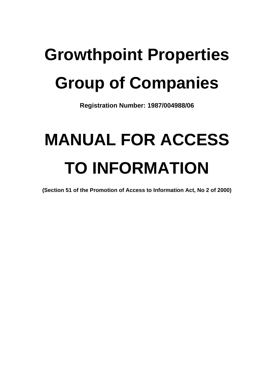# **Growthpoint Properties Group of Companies**

**Registration Number: 1987/004988/06**

# **MANUAL FOR ACCESS TO INFORMATION**

**(Section 51 of the Promotion of Access to Information Act, No 2 of 2000)**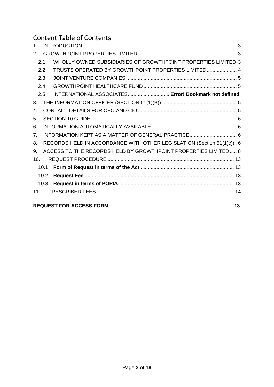# Content Table of Contents

| 1.             |      |                                                                        |  |
|----------------|------|------------------------------------------------------------------------|--|
| 2 <sub>1</sub> |      |                                                                        |  |
|                | 2.1  | WHOLLY OWNED SUBSIDIARIES OF GROWTHPOINT PROPERTIES LIMITED 3          |  |
|                | 2.2  | TRUSTS OPERATED BY GROWTHPOINT PROPERTIES LIMITED 4                    |  |
|                | 2.3  |                                                                        |  |
|                | 2.4  |                                                                        |  |
|                | 2.5  | INTERNATIONAL ASSOCIATES Error! Bookmark not defined.                  |  |
| 3.             |      |                                                                        |  |
| 4.             |      |                                                                        |  |
| 5.             |      |                                                                        |  |
| 6.             |      |                                                                        |  |
| 7 <sub>1</sub> |      | INFORMATION KEPT AS A MATTER OF GENERAL PRACTICE 6                     |  |
| 8.             |      | RECORDS HELD IN ACCORDANCE WITH OTHER LEGISLATION (Section 51(1)c)). 6 |  |
| 9.             |      | ACCESS TO THE RECORDS HELD BY GROWTHPOINT PROPERTIES LIMITED 8         |  |
| 10.            |      |                                                                        |  |
|                | 10.1 |                                                                        |  |
|                | 10.2 |                                                                        |  |
|                | 10.3 |                                                                        |  |
| 11.            |      |                                                                        |  |
|                |      |                                                                        |  |
|                |      |                                                                        |  |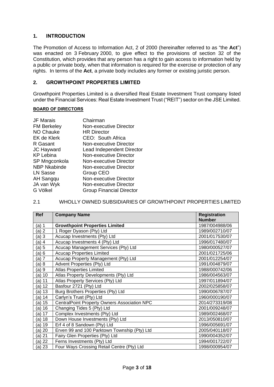## <span id="page-2-0"></span>**1. INTRODUCTION**

The Promotion of Access to Information Act, 2 of 2000 (hereinafter referred to as "the **Act**") was enacted on 3 February 2000, to give effect to the provisions of section 32 of the Constitution, which provides that any person has a right to gain access to information held by a public or private body, when that information is required for the exercise or protection of any rights. In terms of the **Act**, a private body includes any former or existing juristic person.

#### <span id="page-2-1"></span>**2. GROWTHPOINT PROPERTIES LIMITED**

Growthpoint Properties Limited is a diversified Real Estate Investment Trust company listed under the Financial Services: Real Estate Investment Trust ("REIT") sector on the JSE Limited.

#### **BOARD OF DIRECTORS**

| <b>JF Marais</b>    | Chairman                        |
|---------------------|---------------------------------|
| <b>FM Berkeley</b>  | Non-executive Director          |
| <b>NO Chauke</b>    | <b>HR Director</b>              |
| <b>EK de Klerk</b>  | CEO: South Africa               |
| R Gasant            | Non-executive Director          |
| <b>JC Hayward</b>   | Lead Independent Director       |
| <b>KP Lebina</b>    | <b>Non-executive Director</b>   |
| SP Mngconkola       | Non-executive Director          |
| <b>NBP Nkabinde</b> | <b>Non-executive Director</b>   |
| <b>LN Sasse</b>     | Group CEO                       |
| AH Sangqu           | <b>Non-executive Director</b>   |
| JA van Wyk          | Non-executive Director          |
| G Völkel            | <b>Group Financial Director</b> |
|                     |                                 |

#### <span id="page-2-2"></span>2.1 WHOLLY OWNED SUBSIDIARIES OF GROWTHPOINT PROPERTIES LIMITED

| <b>Ref</b> | <b>Company Name</b>                                  | <b>Registration</b> |
|------------|------------------------------------------------------|---------------------|
|            |                                                      | <b>Number</b>       |
| $(a)$ 1    | <b>Growthpoint Properties Limited</b>                | 1987/004988/06      |
| (a) 2      | 1 Roger Dyason (Pty) Ltd                             | 1989/002710/07      |
| (a)3       | Acucap Investments (Pty) Ltd                         | 2001/017530/07      |
| (a) 4      | Acucap Investments 4 (Pty) Ltd                       | 1996/017480/07      |
| (a) 5      | Acucap Management Services (Pty) Ltd                 | 1980/000527/07      |
| (a) 6      | <b>Acucap Properties Limited</b>                     | 2001/021725/06      |
| (a) 7      | Acucap Property Management (Pty) Ltd                 | 2001/012254/07      |
| (a) 8      | Advent Properties (Pty) Ltd                          | 1991/004879/07      |
| (a) 9      | <b>Atlas Properties Limited</b>                      | 1988/000742/06      |
| (a) 10     | Atlas Property Developments (Pty) Ltd                | 1986/004563/07      |
| $(a)$ 11   | Atlas Property Services (Pty) Ltd                    | 1997/011894/07      |
| (a) 12     | Basfour 2721 (Pty) Ltd                               | 2002/025858/07      |
| (a) 13     | Burg Brothers Properties (Pty) Ltd<br>1990/006787/07 |                     |
| (a) 14     | Carlyn's Trust (Pty) Ltd                             | 1960/000190/07      |
| (a) 15     | CentralPoint Property Owners Association NPC         | 2014/273319/08      |
| (a) 16     | Changing Tides 5 (Pty) Ltd                           | 2001/009248/07      |
| (a) 17     | Complex Investments (Pty) Ltd                        | 1989/002468/07      |
| (a) 18     | Down House Investments (Pty) Ltd                     | 2013/050810/07      |
| (a) 19     | Erf 4 of 8 Sandown (Pty) Ltd                         | 1996/005691/07      |
| (a) 20     | Erven 99 and 100 Parktown Township (Pty) Ltd         | 2005/040118/07      |
| (a) 21     | Fairy Glen Properties (Pty) Ltd                      | 1990/004352/07      |
| (a) 22     | Ferns Investments (Pty) Ltd                          | 1994/001722/07      |
| (a) 23     | Four Ways Crossing Retail Centre (Pty) Ltd           | 1998/000954/07      |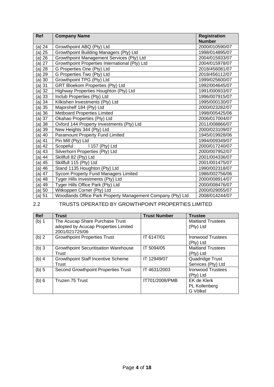| <b>Ref</b> | <b>Company Name</b>                                         | <b>Registration</b> |
|------------|-------------------------------------------------------------|---------------------|
|            |                                                             | <b>Number</b>       |
| (a) 24     | Growthpoint ABQ (Pty) Ltd                                   | 2000/010590/07      |
| $(a)$ 25   | Growthpoint Building Managers (Pty) Ltd                     | 1998/014895/07      |
| (a) 26     | Growthpoint Management Services (Pty) Ltd                   | 2004/015933/07      |
| $(a)$ 27   | Growthpoint Properties International (Pty) Ltd              | 2004/015978/07      |
| (a) 28     | G Properties One (Pty) Ltd                                  | 2018/456081/07      |
| (a) 29     | G Properties Two (Pty) Ltd                                  | 2018/456112/07      |
| (a) 30     | Growthpoint TPG (Pty) Ltd                                   | 1999/025600/07      |
| $(a)$ 31   | <b>GRT Bloekom Properties (Pty) Ltd</b>                     | 1992/004645/07      |
| (a) 32     | Highway Properties Houghton (Pty) Ltd                       | 1991/000933/07      |
| $(a)$ 33   | Inclub Properties (Pty) Ltd                                 | 1996/007915/07      |
| (a) 34     | Kilkishen Investments (Pty) Ltd                             | 1995/000130/07      |
| $(a)$ 35   | Majorshelf 184 (Pty) Ltd                                    | 2000/023282/07      |
| (a) 36     | <b>Metboard Properties Limited</b>                          | 1998/005425/06      |
| $(a)$ 37   | Okahao Properties (Pty) Ltd                                 | 2006/017004/07      |
| (a) 38     | Oxford 144 Property Investments (Pty) Ltd                   | 2011/008866/07      |
| (a) 39     | New Heights 344 (Pty) Ltd                                   | 2000/023109/07      |
| (a) 40     | Paramount Property Fund Limited                             | 1945/019928/06      |
| (a) 41     | Pin Mill (Pty) Ltd                                          | 1994/009349/07      |
| (a) 42     | Scopeful<br>I 157 (Pty) Ltd                                 | 2000/017240/07      |
| (a) 43     | Silverhorn Properties (Pty) Ltd                             | 2000/007952/07      |
| (a) 44     | Skillfull 82 (Pty) Ltd                                      | 2001/004336/07      |
| (a) 45     | Skillfull 115 (Pty) Ltd                                     | 2001/001475/07      |
| (a) 46     | Stand 1135 Houghton (Pty) Ltd                               | 1990/002318/07      |
| (a) 47     | Sycom Property Fund Managers Limited                        | 1986/002756/06      |
| (a) 48     | Tyger Hills Investments (Pty) Ltd                           | 2000/008914/07      |
| (a) 49     | Tyger Hills Office Park (Pty) Ltd                           | 2000/008476/07      |
| $(a)$ 50   | Witkoppen Corner (Pty) Ltd                                  | 2000/029055/07      |
| (a) 51     | Woodlands Office Park Property Management Company (Pty) Ltd | 2008/014244/07      |

# <span id="page-3-0"></span>2.2 TRUSTS OPERATED BY GROWTHPOINT PROPERTIES LIMITED

<span id="page-3-1"></span>

| <b>Ref</b> | <b>Trust</b>                                | <b>Trust Number</b> | <b>Trustee</b>           |
|------------|---------------------------------------------|---------------------|--------------------------|
| (b) 1      | The Acucap Share Purchase Trust             |                     | <b>Maitland Trustees</b> |
|            | adopted by Acucap Properties Limited        |                     | (Pty) Ltd                |
|            | 2001/021725/06                              |                     |                          |
| (b) 2      | <b>Growthpoint Properties Trust</b>         | IT 6147/01          | Ironwood Trustees        |
|            |                                             |                     | (Pty) Ltd                |
| $(b)$ 3    | <b>Growthpoint Securitisation Warehouse</b> | IT 5094/05          | <b>Maitland Trustees</b> |
|            | Trust                                       |                     | (Pty) Ltd                |
| $(b)$ 4    | <b>Growthpoint Staff Incentive Scheme</b>   | IT 12949/07         | Quadridge Trust          |
|            | Trust                                       |                     | Services (Pty) Ltd       |
| (b) 5      | Second Growthpoint Properties Trust         | IT 4631/2003        | <b>Ironwood Trustees</b> |
|            |                                             |                     | (Pty) Ltd                |
| (b) 6      | Truzen 75 Trust                             | IT701/2008/PMB      | EK de Klerk              |
|            |                                             |                     | <b>PL Kollenberg</b>     |
|            |                                             |                     | G Völkel                 |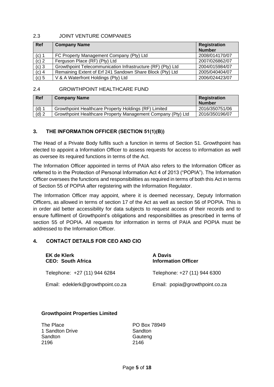#### 2.3 JOINT VENTURE COMPANIES

| <b>Ref</b> | <b>Company Name</b>                                         | Registration<br><b>Number</b> |
|------------|-------------------------------------------------------------|-------------------------------|
| $(c)$ 1    | FC Property Management Company (Pty) Ltd                    | 2008/014170/07                |
| $(c)$ 2    | Ferguson Place (RF) (Pty) Ltd                               | 2007/026862/07                |
| $(c)$ 3    | Growthpoint Telecommunication Infrastructure (RF) (Pty) Ltd | 2004/015984/07                |
| $(c)$ 4    | Remaining Extent of Erf 241 Sandown Share Block (Pty) Ltd   | 2005/040404/07                |
| $(c)$ 5    | V & A Waterfront Holdings (Pty) Ltd                         | 2006/024423/07                |

### <span id="page-4-0"></span>2.4 GROWTHPOINT HEALTHCARE FUND

| Ref     | <b>Company Name</b>                                          | Registration<br><b>Number</b> |
|---------|--------------------------------------------------------------|-------------------------------|
| (d)     | Growthpoint Healthcare Property Holdings (RF) Limited        | 2016/350751/06                |
| $(d)$ 2 | Growthpoint Healthcare Property Management Company (Pty) Ltd | 2016/350196/07                |

# <span id="page-4-1"></span>**3. THE INFORMATION OFFICER (SECTION 51(1)(B))**

The Head of a Private Body fulfils such a function in terms of Section 51. Growthpoint has elected to appoint a Information Officer to assess requests for access to information as well as oversee its required functions in terms of the Act.

The Information Officer appointed in terms of PAIA also refers to the Information Officer as referred to in the Protection of Personal Information Act 4 of 2013 ("POPIA"). The Information Officer oversees the functions and responsibilities as required in terms of both this Act in terms of Section 55 of POPIA after registering with the Information Regulator.

The Information Officer may appoint, where it is deemed necessary, Deputy Information Officers, as allowed in terms of section 17 of the Act as well as section 56 of POPIA. This is in order aid better accessibility for data subjects to request access of their records and to ensure fulfilment of Growthpoint's obligations and responsibilities as prescribed in terms of section 55 of POPIA. All requests for information in terms of PAIA and POPIA must be addressed to the Information Officer.

#### <span id="page-4-2"></span>**4. CONTACT DETAILS FOR CEO AND CIO**

| <b>EK de Klerk</b><br><b>CEO: South Africa</b> | A Davis<br><b>Information Officer</b> |
|------------------------------------------------|---------------------------------------|
| Telephone: +27 (11) 944 6284                   | Telephone: +27 (11) 944 6300          |
| Email: edeklerk@growthpoint.co.za              | Email: popia@growthpoint.co.za        |

#### **Growthpoint Properties Limited**

| The Place       | PO Box 78949 |
|-----------------|--------------|
| 1 Sandton Drive | Sandton      |
| Sandton         | Gauteng      |
| 2196            | 2146         |
|                 |              |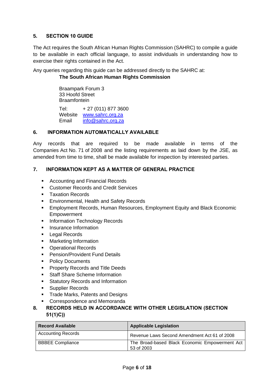# <span id="page-5-0"></span>**5. SECTION 10 GUIDE**

The Act requires the South African Human Rights Commission (SAHRC) to compile a guide to be available in each official language, to assist individuals in understanding how to exercise their rights contained in the Act.

Any queries regarding this guide can be addressed directly to the SAHRC at:

# **The South African Human Rights Commission**

Braampark Forum 3 33 Hoofd Street **Braamfontein** 

Tel: + 27 (011) 877 3600 Website [www.sahrc.org.za](http://www.sahrc.org.za/) Email [info@sahrc.org.za](mailto:info@sahrc.org.za)

### <span id="page-5-1"></span>**6. INFORMATION AUTOMATICALLY AVAILABLE**

Any records that are required to be made available in terms of the Companies Act No. 71 of 2008 and the listing requirements as laid down by the JSE, as amended from time to time, shall be made available for inspection by interested parties.

# <span id="page-5-2"></span>**7. INFORMATION KEPT AS A MATTER OF GENERAL PRACTICE**

- Accounting and Financial Records
- Customer Records and Credit Services
- Taxation Records
- **Environmental, Health and Safety Records**
- **Employment Records, Human Resources, Employment Equity and Black Economic** Empowerment
- Information Technology Records
- **·** Insurance Information
- Legal Records
- Marketing Information
- Operational Records
- Pension/Provident Fund Details
- Policy Documents
- Property Records and Title Deeds
- Staff Share Scheme Information
- Statutory Records and Information
- Supplier Records
- Trade Marks, Patents and Designs
- Correspondence and Memoranda
- <span id="page-5-3"></span>**8. RECORDS HELD IN ACCORDANCE WITH OTHER LEGISLATION (SECTION 51(1)C))**

| <b>Record Available</b>   | <b>Applicable Legislation</b>                                |
|---------------------------|--------------------------------------------------------------|
| <b>Accounting Records</b> | Revenue Laws Second Amendment Act 61 of 2008                 |
| <b>BBBEE Compliance</b>   | The Broad-based Black Economic Empowerment Act<br>53 of 2003 |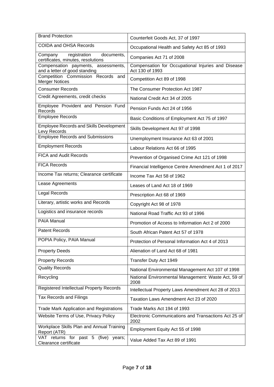| <b>Brand Protection</b>                                                     | Counterfeit Goods Act, 37 of 1997                                     |
|-----------------------------------------------------------------------------|-----------------------------------------------------------------------|
| <b>COIDA and OHSA Records</b>                                               | Occupational Health and Safety Act 85 of 1993                         |
| registration<br>documents,<br>Company<br>certificates, minutes, resolutions | Companies Act 71 of 2008                                              |
| Compensation payments, assessments,<br>and a letter of good standing        | Compensation for Occupational Injuries and Disease<br>Act 130 of 1993 |
| Competition Commission Records and<br><b>Merger Notices</b>                 | Competition Act 89 of 1998                                            |
| <b>Consumer Records</b>                                                     | The Consumer Protection Act 1987                                      |
| Credit Agreements, credit checks                                            | National Credit Act 34 of 2005                                        |
| Employee Provident and Pension Fund<br>Records                              | Pension Funds Act 24 of 1956                                          |
| <b>Employee Records</b>                                                     | Basic Conditions of Employment Act 75 of 1997                         |
| <b>Employee Records and Skills Development</b><br>Levy Records              | Skills Development Act 97 of 1998                                     |
| <b>Employee Records and Submissions</b>                                     | Unemployment Insurance Act 63 of 2001                                 |
| <b>Employment Records</b>                                                   | Labour Relations Act 66 of 1995                                       |
| <b>FICA and Audit Records</b>                                               | Prevention of Organised Crime Act 121 of 1998                         |
| <b>FICA Records</b>                                                         | Financial Intelligence Centre Amendment Act 1 of 2017                 |
| Income Tax returns; Clearance certificate                                   | Income Tax Act 58 of 1962                                             |
| Lease Agreements                                                            | Leases of Land Act 18 of 1969                                         |
| Legal Records                                                               | Prescription Act 68 of 1969                                           |
| Literary, artistic works and Records                                        | Copyright Act 98 of 1978                                              |
| Logistics and insurance records                                             | National Road Traffic Act 93 of 1996                                  |
| <b>PAIA Manual</b>                                                          | Promotion of Access to Information Act 2 of 2000                      |
| <b>Patent Records</b>                                                       | South African Patent Act 57 of 1978                                   |
| POPIA Policy, PAIA Manual                                                   | Protection of Personal Information Act 4 of 2013                      |
| <b>Property Deeds</b>                                                       | Alienation of Land Act 68 of 1981                                     |
| <b>Property Records</b>                                                     | Transfer Duty Act 1949                                                |
| <b>Quality Records</b>                                                      | National Environmental Management Act 107 of 1998                     |
| Recycling                                                                   | National Environmental Management: Waste Act, 59 of<br>2008           |
| Registered Intellectual Property Records                                    | Intellectual Property Laws Amendment Act 28 of 2013                   |
| <b>Tax Records and Filings</b>                                              | Taxation Laws Amendment Act 23 of 2020                                |
| <b>Trade Mark Application and Registrations</b>                             | Trade Marks Act 194 of 1993                                           |
| Website Terms of Use, Privacy Policy                                        | Electronic Communications and Transactions Act 25 of<br>2002          |
| Workplace Skills Plan and Annual Training<br>Report (ATR)                   | Employment Equity Act 55 of 1998                                      |
| VAT returns for past 5 (five) years;<br>Clearance certificate               | Value Added Tax Act 89 of 1991                                        |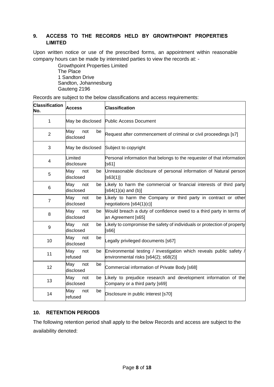# <span id="page-7-0"></span>**9. ACCESS TO THE RECORDS HELD BY GROWTHPOINT PROPERTIES LIMITED**

Upon written notice or use of the prescribed forms, an appointment within reasonable company hours can be made by interested parties to view the records at: -

> Growthpoint Properties Limited The Place 1 Sandton Drive Sandton, Johannesburg Gauteng 2196

Records are subject to the below classifications and access requirements:

| <b>Classification</b><br>No. | <b>Access</b>                 | <b>Classification</b>                                                                                       |
|------------------------------|-------------------------------|-------------------------------------------------------------------------------------------------------------|
| 1                            | May be disclosed              | <b>Public Access Document</b>                                                                               |
| $\overline{2}$               | May<br>not<br>be<br>disclosed | Request after commencement of criminal or civil proceedings [s7]                                            |
| 3                            | May be disclosed              | Subject to copyright                                                                                        |
| 4                            | Limited<br>disclosure         | Personal information that belongs to the requester of that information<br>[s61]                             |
| 5                            | May<br>not<br>disclosed       | be Unreasonable disclosure of personal information of Natural person<br>$[$ s63(1)]                         |
| 6                            | May<br>not<br>be<br>disclosed | Likely to harm the commercial or financial interests of third party<br>$[$ s64(1)(a) and (b)]               |
| $\overline{7}$               | May<br>not<br>be<br>disclosed | Likely to harm the Company or third party in contract or other<br>negotiations $[$ s64(1)(c)]               |
| 8                            | May<br>not<br>be<br>disclosed | Would breach a duty of confidence owed to a third party in terms of<br>an Agreement [s65]                   |
| 9                            | May<br>not<br>be<br>disclosed | Likely to compromise the safety of individuals or protection of property<br>[s66]                           |
| 10                           | May<br>not<br>be<br>disclosed | Legally privileged documents [s67]                                                                          |
| 11                           | May<br>not<br>be<br>refused   | Environmental testing / investigation which reveals public safety /<br>environmental risks [s64(2); s68(2)] |
| 12                           | May<br>not<br>be<br>disclosed | Commercial information of Private Body [s68]                                                                |
| 13                           | May<br>not<br>be<br>disclosed | Likely to prejudice research and development information of the<br>Company or a third party [s69]           |
| 14                           | May<br>not<br>be<br>refused   | Disclosure in public interest [s70]                                                                         |

#### **10. RETENTION PERIODS**

The following retention period shall apply to the below Records and access are subject to the availability denoted: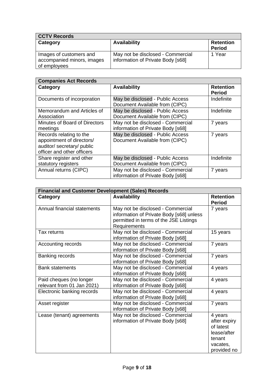| <b>CCTV Records</b>                                                   |                                                                        |                                   |
|-----------------------------------------------------------------------|------------------------------------------------------------------------|-----------------------------------|
| Category                                                              | <b>Availability</b>                                                    | <b>Retention</b><br><b>Period</b> |
| Images of customers and<br>accompanied minors, images<br>of employees | May not be disclosed - Commercial<br>information of Private Body [s68] | 1 Year                            |

| <b>Companies Act Records</b>                                                                                     |                                                                        |                                   |
|------------------------------------------------------------------------------------------------------------------|------------------------------------------------------------------------|-----------------------------------|
| Category                                                                                                         | <b>Availability</b>                                                    | <b>Retention</b><br><b>Period</b> |
| Documents of incorporation                                                                                       | May be disclosed - Public Access<br>Document Available from (CIPC)     | Indefinite                        |
| Memorandum and Articles of<br>Association                                                                        | May be disclosed - Public Access<br>Document Available from (CIPC)     | Indefinite                        |
| Minutes of Board of Directors<br>meetings                                                                        | May not be disclosed - Commercial<br>information of Private Body [s68] | 7 years                           |
| Records relating to the<br>appointment of directors/<br>auditor/ secretary/ public<br>officer and other officers | May be disclosed - Public Access<br>Document Available from (CIPC)     | 7 years                           |
| Share register and other<br>statutory registers                                                                  | May be disclosed - Public Access<br>Document Available from (CIPC)     | Indefinite                        |
| Annual returns (CIPC)                                                                                            | May not be disclosed - Commercial<br>information of Private Body [s68] | 7 years                           |

| <b>Financial and Customer Development (Sales) Records</b> |                                                                                                                                         |                                                                                          |
|-----------------------------------------------------------|-----------------------------------------------------------------------------------------------------------------------------------------|------------------------------------------------------------------------------------------|
| Category                                                  | <b>Availability</b>                                                                                                                     | <b>Retention</b><br><b>Period</b>                                                        |
| Annual financial statements                               | May not be disclosed - Commercial<br>information of Private Body [s68] unless<br>permitted in terms of the JSE Listings<br>Requirements | 7 years                                                                                  |
| Tax returns                                               | May not be disclosed - Commercial<br>information of Private Body [s68]                                                                  | 15 years                                                                                 |
| Accounting records                                        | May not be disclosed - Commercial<br>information of Private Body [s68]                                                                  | 7 years                                                                                  |
| Banking records                                           | May not be disclosed - Commercial<br>information of Private Body [s68]                                                                  | 7 years                                                                                  |
| <b>Bank statements</b>                                    | May not be disclosed - Commercial<br>information of Private Body [s68]                                                                  | 4 years                                                                                  |
| Paid cheques (no longer<br>relevant from 01 Jan 2021)     | May not be disclosed - Commercial<br>information of Private Body [s68]                                                                  | 4 years                                                                                  |
| Electronic banking records                                | May not be disclosed - Commercial<br>information of Private Body [s68]                                                                  | 4 years                                                                                  |
| Asset register                                            | May not be disclosed - Commercial<br>information of Private Body [s68]                                                                  | 7 years                                                                                  |
| Lease (tenant) agreements                                 | May not be disclosed - Commercial<br>information of Private Body [s68]                                                                  | 4 years<br>after expiry<br>of latest<br>lease/after<br>tenant<br>vacates,<br>provided no |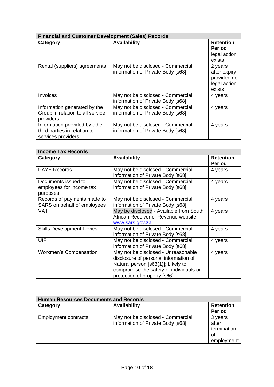| <b>Financial and Customer Development (Sales) Records</b>                           |                                                                        |                                                                  |
|-------------------------------------------------------------------------------------|------------------------------------------------------------------------|------------------------------------------------------------------|
| Category                                                                            | <b>Availability</b>                                                    | <b>Retention</b><br><b>Period</b>                                |
|                                                                                     |                                                                        | legal action<br>exists                                           |
| Rental (suppliers) agreements                                                       | May not be disclosed - Commercial<br>information of Private Body [s68] | 2 years<br>after expiry<br>provided no<br>legal action<br>exists |
| Invoices                                                                            | May not be disclosed - Commercial<br>information of Private Body [s68] | 4 years                                                          |
| Information generated by the<br>Group in relation to all service<br>providers       | May not be disclosed - Commercial<br>information of Private Body [s68] | 4 years                                                          |
| Information provided by other<br>third parties in relation to<br>services providers | May not be disclosed - Commercial<br>information of Private Body [s68] | 4 years                                                          |

| <b>Income Tax Records</b>        |                                         |                  |
|----------------------------------|-----------------------------------------|------------------|
| Category                         | <b>Availability</b>                     | <b>Retention</b> |
|                                  |                                         | <b>Period</b>    |
| <b>PAYE Records</b>              | May not be disclosed - Commercial       | 4 years          |
|                                  | information of Private Body [s68]       |                  |
| Documents issued to              | May not be disclosed - Commercial       | 4 years          |
| employees for income tax         | information of Private Body [s68]       |                  |
| purposes                         |                                         |                  |
| Records of payments made to      | May not be disclosed - Commercial       | 4 years          |
| SARS on behalf of employees      | information of Private Body [s68]       |                  |
| VAT                              | May be disclosed - Available from South | 4 years          |
|                                  | African Receiver of Revenue website     |                  |
|                                  | www.sars.gov.za                         |                  |
| <b>Skills Development Levies</b> | May not be disclosed - Commercial       | 4 years          |
|                                  | information of Private Body [s68]       |                  |
| UIF                              | May not be disclosed - Commercial       | 4 years          |
|                                  | information of Private Body [s68]       |                  |
| <b>Workmen's Compensation</b>    | May not be disclosed - Unreasonable     | 4 years          |
|                                  | disclosure of personal information of   |                  |
|                                  | Natural person [s63(1)]; Likely to      |                  |
|                                  | compromise the safety of individuals or |                  |
|                                  | protection of property [s66]            |                  |

| <b>Human Resources Documents and Records</b> |                                                                        |                                                     |
|----------------------------------------------|------------------------------------------------------------------------|-----------------------------------------------------|
| Category                                     | <b>Availability</b>                                                    | <b>Retention</b><br><b>Period</b>                   |
| <b>Employment contracts</b>                  | May not be disclosed - Commercial<br>information of Private Body [s68] | 3 years<br>after<br>termination<br>of<br>employment |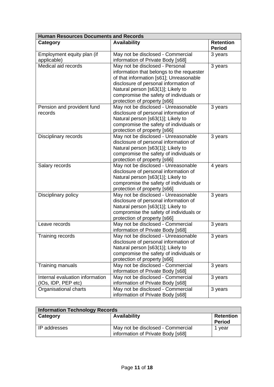| <b>Human Resources Documents and Records</b> |                                           |                                   |
|----------------------------------------------|-------------------------------------------|-----------------------------------|
| Category                                     | <b>Availability</b>                       | <b>Retention</b><br><b>Period</b> |
| Employment equity plan (if                   | May not be disclosed - Commercial         | 3 years                           |
| applicable)                                  | information of Private Body [s68]         |                                   |
| Medical aid records                          | May not be disclosed - Personal           | 3 years                           |
|                                              | information that belongs to the requester |                                   |
|                                              | of that information [s61]; Unreasonable   |                                   |
|                                              | disclosure of personal information of     |                                   |
|                                              | Natural person [s63(1)]; Likely to        |                                   |
|                                              | compromise the safety of individuals or   |                                   |
|                                              | protection of property [s66]              |                                   |
| Pension and provident fund                   | May not be disclosed - Unreasonable       | 3 years                           |
| records                                      | disclosure of personal information of     |                                   |
|                                              | Natural person [s63(1)]; Likely to        |                                   |
|                                              | compromise the safety of individuals or   |                                   |
|                                              | protection of property [s66]              |                                   |
| Disciplinary records                         | May not be disclosed - Unreasonable       | 3 years                           |
|                                              | disclosure of personal information of     |                                   |
|                                              | Natural person [s63(1)]; Likely to        |                                   |
|                                              | compromise the safety of individuals or   |                                   |
|                                              | protection of property [s66]              |                                   |
| Salary records                               | May not be disclosed - Unreasonable       | 4 years                           |
|                                              | disclosure of personal information of     |                                   |
|                                              | Natural person [s63(1)]; Likely to        |                                   |
|                                              | compromise the safety of individuals or   |                                   |
|                                              | protection of property [s66]              |                                   |
| Disciplinary policy                          | May not be disclosed - Unreasonable       | 3 years                           |
|                                              | disclosure of personal information of     |                                   |
|                                              | Natural person [s63(1)]; Likely to        |                                   |
|                                              | compromise the safety of individuals or   |                                   |
|                                              | protection of property [s66]              |                                   |
| Leave records                                | May not be disclosed - Commercial         | 3 years                           |
|                                              | information of Private Body [s68]         |                                   |
| Training records                             | May not be disclosed - Unreasonable       | 3 years                           |
|                                              | disclosure of personal information of     |                                   |
|                                              | Natural person [s63(1)]; Likely to        |                                   |
|                                              | compromise the safety of individuals or   |                                   |
|                                              | protection of property [s66]              |                                   |
| Training manuals                             | May not be disclosed - Commercial         | 3 years                           |
|                                              | information of Private Body [s68]         |                                   |
| Internal evaluation information              | May not be disclosed - Commercial         | 3 years                           |
| (IOs, IDP, PEP etc)                          | information of Private Body [s68]         |                                   |
| Organisational charts                        | May not be disclosed - Commercial         | 3 years                           |
|                                              | information of Private Body [s68]         |                                   |

| <b>Information Technology Records</b> |                                                                        |                                   |
|---------------------------------------|------------------------------------------------------------------------|-----------------------------------|
| Category                              | <b>Availability</b>                                                    | <b>Retention</b><br><b>Period</b> |
| IP addresses                          | May not be disclosed - Commercial<br>information of Private Body [s68] | 1 vear                            |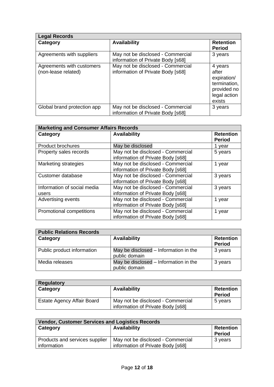| <b>Legal Records</b>                             |                                                                        |                                                                                          |
|--------------------------------------------------|------------------------------------------------------------------------|------------------------------------------------------------------------------------------|
| Category                                         | <b>Availability</b>                                                    | <b>Retention</b><br><b>Period</b>                                                        |
| Agreements with suppliers                        | May not be disclosed - Commercial<br>information of Private Body [s68] | 3 years                                                                                  |
| Agreements with customers<br>(non-lease related) | May not be disclosed - Commercial<br>information of Private Body [s68] | 4 years<br>after<br>expiration/<br>termination,<br>provided no<br>legal action<br>exists |
| Global brand protection app                      | May not be disclosed - Commercial<br>information of Private Body [s68] | 3 years                                                                                  |

| <b>Marketing and Consumer Affairs Records</b> |                                                                        |                                   |
|-----------------------------------------------|------------------------------------------------------------------------|-----------------------------------|
| Category                                      | <b>Availability</b>                                                    | <b>Retention</b><br><b>Period</b> |
| <b>Product brochures</b>                      | May be disclosed                                                       | 1 year                            |
| Property sales records                        | May not be disclosed - Commercial<br>information of Private Body [s68] | 5 years                           |
| <b>Marketing strategies</b>                   | May not be disclosed - Commercial<br>information of Private Body [s68] | 1 year                            |
| Customer database                             | May not be disclosed - Commercial<br>information of Private Body [s68] | 3 years                           |
| Information of social media<br>users          | May not be disclosed - Commercial<br>information of Private Body [s68] | 3 years                           |
| Advertising events                            | May not be disclosed - Commercial<br>information of Private Body [s68] | 1 year                            |
| Promotional competitions                      | May not be disclosed - Commercial<br>information of Private Body [s68] | 1 year                            |

| <b>Public Relations Records</b> |                                                        |                                   |
|---------------------------------|--------------------------------------------------------|-----------------------------------|
| Category                        | <b>Availability</b>                                    | <b>Retention</b><br><b>Period</b> |
| Public product information      | May be disclosed – Information in the<br>public domain | 3 years                           |
| Media releases                  | May be disclosed – Information in the<br>public domain | 3 years                           |

| <b>Regulatory</b>                 |                                   |                                   |
|-----------------------------------|-----------------------------------|-----------------------------------|
| Category                          | <b>Availability</b>               | <b>Retention</b><br><b>Period</b> |
| <b>Estate Agency Affair Board</b> | May not be disclosed - Commercial | 5 years                           |
|                                   | information of Private Body [s68] |                                   |

| <b>Vendor, Customer Services and Logistics Records</b> |                                   |                  |  |  |
|--------------------------------------------------------|-----------------------------------|------------------|--|--|
| Category                                               | <b>Availability</b>               | <b>Retention</b> |  |  |
|                                                        |                                   | <b>Period</b>    |  |  |
| Products and services supplier                         | May not be disclosed - Commercial | 3 years          |  |  |
| information                                            | information of Private Body [s68] |                  |  |  |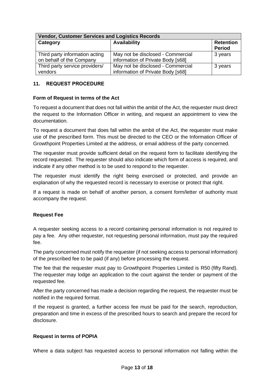| <b>Vendor, Customer Services and Logistics Records</b>     |                                                                        |                                   |  |
|------------------------------------------------------------|------------------------------------------------------------------------|-----------------------------------|--|
| Category                                                   | <b>Availability</b>                                                    | <b>Retention</b><br><b>Period</b> |  |
| Third party information acting<br>on behalf of the Company | May not be disclosed - Commercial<br>information of Private Body [s68] | 3 years                           |  |
| Third party service providers/<br>vendors                  | May not be disclosed - Commercial<br>information of Private Body [s68] | 3 years                           |  |

# <span id="page-12-0"></span>**11. REQUEST PROCEDURE**

### <span id="page-12-1"></span>**Form of Request in terms of the Act**

To request a document that does not fall within the ambit of the Act, the requester must direct the request to the Information Officer in writing, and request an appointment to view the documentation.

To request a document that does fall within the ambit of the Act, the requester must make use of the prescribed form. This must be directed to the CEO or the Information Officer of Growthpoint Properties Limited at the address, or email address of the party concerned.

The requester must provide sufficient detail on the request form to facilitate identifying the record requested. The requester should also indicate which form of access is required, and indicate if any other method is to be used to respond to the requester.

The requester must identify the right being exercised or protected, and provide an explanation of why the requested record is necessary to exercise or protect that right.

If a request is made on behalf of another person, a consent form/letter of authority must accompany the request.

# <span id="page-12-2"></span>**Request Fee**

A requester seeking access to a record containing personal information is not required to pay a fee. Any other requester, not requesting personal information, must pay the required fee.

The party concerned must notify the requester (if not seeking access to personal information) of the prescribed fee to be paid (if any) before processing the request.

The fee that the requester must pay to Growthpoint Properties Limited is R50 (fifty Rand). The requester may lodge an application to the court against the tender or payment of the requested fee.

After the party concerned has made a decision regarding the request, the requester must be notified in the required format.

If the request is granted, a further access fee must be paid for the search, reproduction, preparation and time in excess of the prescribed hours to search and prepare the record for disclosure.

# <span id="page-12-3"></span>**Request in terms of POPIA**

Where a data subject has requested access to personal information not falling within the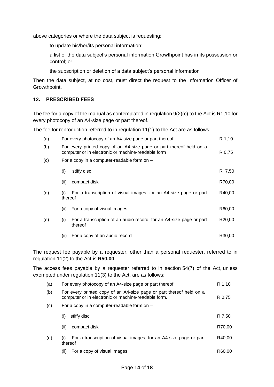above categories or where the data subject is requesting:

to update his/her/its personal information;

a list of the data subject's personal information Growthpoint has in its possession or control; or

the subscription or deletion of a data subject's personal information

Then the data subject, at no cost, must direct the request to the Information Officer of Growthpoint.

#### <span id="page-13-0"></span>**12. PRESCRIBED FEES**

The fee for a copy of the manual as contemplated in regulation 9(2)(c) to the Act is R1,10 for every photocopy of an A4-size page or part thereof.

The fee for reproduction referred to in regulation 11(1) to the Act are as follows:

| (a) |                                                                                                                           | For every photocopy of an A4-size page or part thereof                         |        |  |
|-----|---------------------------------------------------------------------------------------------------------------------------|--------------------------------------------------------------------------------|--------|--|
| (b) | For every printed copy of an A4-size page or part thereof held on a<br>computer or in electronic or machine-readable form |                                                                                |        |  |
| (c) |                                                                                                                           | For a copy in a computer-readable form on -                                    |        |  |
|     | (i)                                                                                                                       | stiffy disc                                                                    | R 7,50 |  |
|     | (ii)                                                                                                                      | compact disk                                                                   | R70,00 |  |
| (d) | (i)<br>thereof                                                                                                            | For a transcription of visual images, for an A4-size page or part              | R40,00 |  |
|     | (ii)                                                                                                                      | For a copy of visual images                                                    | R60,00 |  |
| (e) | (i)                                                                                                                       | For a transcription of an audio record, for an A4-size page or part<br>thereof | R20,00 |  |
|     | (ii)                                                                                                                      | For a copy of an audio record                                                  | R30,00 |  |

The request fee payable by a requester, other than a personal requester, referred to in regulation 11(2) to the Act is **R50,00**.

The access fees payable by a requester referred to in section 54(7) of the Act, unless exempted under regulation 11(3) to the Act, are as follows:

| (a) | For every photocopy of an A4-size page or part thereof                                                                     | R 1,10 |  |  |
|-----|----------------------------------------------------------------------------------------------------------------------------|--------|--|--|
| (b) | For every printed copy of an A4-size page or part thereof held on a<br>computer or in electronic or machine-readable form. |        |  |  |
| (c) | For a copy in a computer-readable form on $-$                                                                              |        |  |  |
|     | stiffy disc<br>(i)                                                                                                         | R 7,50 |  |  |
|     | compact disk<br>(ii)                                                                                                       | R70,00 |  |  |
| (d) | For a transcription of visual images, for an A4-size page or part<br>(i)<br>thereof                                        | R40.00 |  |  |
|     | For a copy of visual images<br>(ii)                                                                                        | R60.00 |  |  |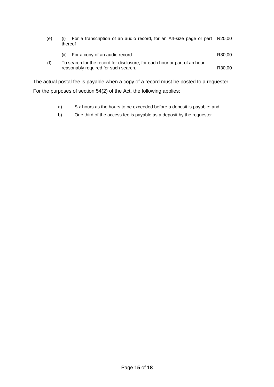| (e) | For a transcription of an audio record, for an A4-size page or part R20,00<br>thereof                             |                    |
|-----|-------------------------------------------------------------------------------------------------------------------|--------------------|
|     | For a copy of an audio record<br>(ii)                                                                             | R <sub>30.00</sub> |
| (f) | To search for the record for disclosure, for each hour or part of an hour<br>reasonably required for such search. | R <sub>30.00</sub> |

The actual postal fee is payable when a copy of a record must be posted to a requester. For the purposes of section 54(2) of the Act, the following applies:

- a) Six hours as the hours to be exceeded before a deposit is payable; and
- b) One third of the access fee is payable as a deposit by the requester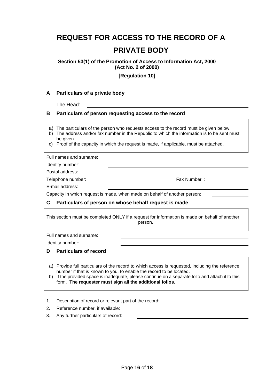# **REQUEST FOR ACCESS TO THE RECORD OF A**

# **PRIVATE BODY**

**Section 53(1) of the Promotion of Access to Information Act, 2000 (Act No. 2 of 2000)**

**[Regulation 10]**

#### **A Particulars of a private body**

The Head:

#### **B Particulars of person requesting access to the record**

a) The particulars of the person who requests access to the record must be given below.

- b) The address and/or fax number in the Republic to which the information is to be sent must be given.
- c) Proof of the capacity in which the request is made, if applicable, must be attached.

| Full names and surname:                                                   |             |
|---------------------------------------------------------------------------|-------------|
| Identity number:                                                          |             |
| Postal address:                                                           |             |
| Telephone number:                                                         | Fax Number: |
| E-mail address:                                                           |             |
| Canacity in which request is made, when made an behalf of another nerson: |             |

Capacity in which request is made, when made on behalf of another person:

#### **C Particulars of person on whose behalf request is made**

This section must be completed ONLY if a request for information is made on behalf of another person.

Full names and surname:

Identity number:

#### **D Particulars of record**

- a) Provide full particulars of the record to which access is requested, including the reference number if that is known to you, to enable the record to be located.
- b) If the provided space is inadequate, please continue on a separate folio and attach it to this form. **The requester must sign all the additional folios.**
- 1. Description of record or relevant part of the record:
- 2. Reference number, if available:
- 3. Any further particulars of record: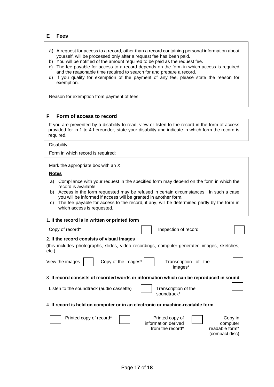- a) A request for access to a record, other than a record containing personal information about yourself, will be processed only after a request fee has been paid.
- b) You will be notified of the amount required to be paid as the request fee.
- c) The fee payable for access to a record depends on the form in which access is required and the reasonable time required to search for and prepare a record.
- d) If you qualify for exemption of the payment of any fee, please state the reason for exemption.

Reason for exemption from payment of fees:

#### **F Form of access to record**

If you are prevented by a disability to read, view or listen to the record in the form of access provided for in 1 to 4 hereunder, state your disability and indicate in which form the record is required.

Disability:

Form in which record is required:

Mark the appropriate box with an X

#### **Notes**

- a) Compliance with your request in the specified form may depend on the form in which the record is available.
- b) Access in the form requested may be refused in certain circumstances. In such a case you will be informed if access will be granted in another form.
- c) The fee payable for access to the record, if any, will be determined partly by the form in which access is requested.

#### 1. **If the record is in written or printed form**

#### 2. **If the record consists of visual images**

(this includes photographs, slides, video recordings, computer-generated images, sketches, etc.)

|  | View the images |
|--|-----------------|
|--|-----------------|

Copy of the images  $\vert$   $\vert$  Transcription of the

images\*

#### 3. **If record consists of recorded words or information which can be reproduced in sound**

Listen to the soundtrack (audio cassette)  $\begin{array}{|c|c|c|c|c|} \hline \end{array}$  Transcription of the

soundtrack\*

Inspection of record

#### 4. **If record is held on computer or in an electronic or machine-readable form**

| Printed copy of record* | Printed copy of<br>information derived | Copy in<br>computer |
|-------------------------|----------------------------------------|---------------------|
|                         | from the record*                       | readable form*      |
|                         |                                        | (compact disc)      |